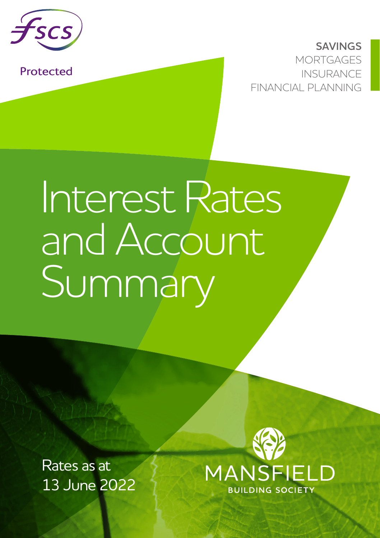

Protected

**SAVINGS MORTGAGES** INSURANCE FINANCIAL PLANNING

## Interest Rates and Account Summary

Rates as at 13 June 2022

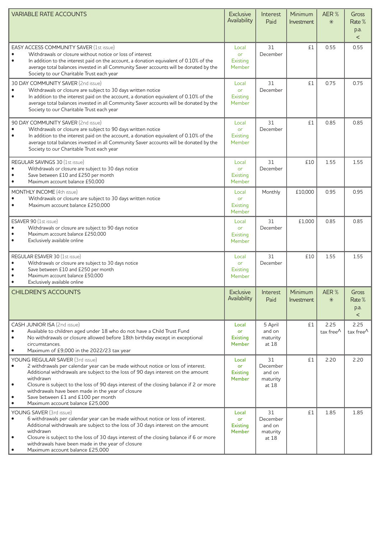| <b>VARIABLE RATE ACCOUNTS</b>                                                                                                                                                                                                                                                                                                                                                                                                                    | <b>Exclusive</b><br>Availability                | Interest<br>Paid                              | Minimum<br>Investment | AER%<br>$*$                                     | Gross<br>Rate %<br>p.a.<br>$\overline{a}$ |
|--------------------------------------------------------------------------------------------------------------------------------------------------------------------------------------------------------------------------------------------------------------------------------------------------------------------------------------------------------------------------------------------------------------------------------------------------|-------------------------------------------------|-----------------------------------------------|-----------------------|-------------------------------------------------|-------------------------------------------|
| EASY ACCESS COMMUNITY SAVER (1st issue)<br>Withdrawals or closure without notice or loss of interest<br>٠<br>$\bullet$<br>In addition to the interest paid on the account, a donation equivalent of 0.10% of the<br>average total balances invested in all Community Saver accounts will be donated by the<br>Society to our Charitable Trust each year                                                                                          | Local<br>or<br>Existing<br>Member               | 31<br>December                                | £1                    | 0.55                                            | 0.55                                      |
| 30 DAY COMMUNITY SAVER (2nd issue)<br>Withdrawals or closure are subject to 30 days written notice<br>٠<br>$\bullet$<br>In addition to the interest paid on the account, a donation equivalent of 0.10% of the<br>average total balances invested in all Community Saver accounts will be donated by the<br>Society to our Charitable Trust each year                                                                                            | Local<br>or<br>Existing<br>Member               | 31<br>December                                | £1                    | 0.75                                            | 0.75                                      |
| 90 DAY COMMUNITY SAVER (2nd issue)<br>Withdrawals or closure are subject to 90 days written notice<br>٠<br>٠<br>In addition to the interest paid on the account, a donation equivalent of 0.10% of the<br>average total balances invested in all Community Saver accounts will be donated by the<br>Society to our Charitable Trust each year                                                                                                    | Local<br>or<br>Existing<br>Member               | 31<br>December                                | £1                    | 0.85                                            | 0.85                                      |
| REGULAR SAVINGS 30 (1st issue)<br>Withdrawals or closure are subject to 30 days notice<br>Save between £10 and £250 per month<br>$\bullet$<br>Maximum account balance £50,000                                                                                                                                                                                                                                                                    | Local<br>or<br>Existing<br>Member               | 31<br>December                                | £10                   | 1.55                                            | 1.55                                      |
| MONTHLY INCOME (4th issue)<br>Withdrawals or closure are subject to 30 days written notice<br>٠<br>Maximum account balance £250,000                                                                                                                                                                                                                                                                                                              | Local<br>or<br>Existing<br>Member               | Monthly                                       | £10.000               | 0.95                                            | 0.95                                      |
| ESAVER 90 (1st issue)<br>Withdrawals or closure are subject to 90 days notice<br>Maximum account balance £250,000<br>Exclusively available online                                                                                                                                                                                                                                                                                                | Local<br>or<br>Existing<br>Member               | 31<br>December                                | £1.000                | 0.85                                            | 0.85                                      |
| REGULAR ESAVER 30 (1st issue)<br>Withdrawals or closure are subject to 30 days notice<br>Save between £10 and £250 per month<br>Maximum account balance £50,000<br>Exclusively available online                                                                                                                                                                                                                                                  | Local<br>or<br>Existing<br>Member               | 31<br>December                                | £10                   | 1.55                                            | 1.55                                      |
| <b>CHILDREN'S ACCOUNTS</b>                                                                                                                                                                                                                                                                                                                                                                                                                       | <b>Exclusive</b><br>Availability                | Interest<br>Paid                              | Minimum<br>Investment | AER%<br>$*$                                     | Gross<br>Rate %<br>p.a.<br>$\,<$          |
| CASH JUNIOR ISA (2nd issue)<br>Available to children aged under 18 who do not have a Child Trust Fund<br>No withdrawals or closure allowed before 18th birthday except in exceptional<br>circumstances.<br>Maximum of £9,000 in the 2022/23 tax year                                                                                                                                                                                             | Local<br>or<br><b>Existing</b><br><b>Member</b> | 5 April<br>and on<br>maturity<br>at 18        | £1                    | 2.25<br>tax free <sup><math>\wedge</math></sup> | 2.25<br>tax free $^\wedge$                |
| YOUNG REGULAR SAVER (3rd issue)<br>2 withdrawals per calendar year can be made without notice or loss of interest.<br>٠<br>Additional withdrawals are subject to the loss of 90 days interest on the amount<br>withdrawn<br>Closure is subject to the loss of 90 days interest of the closing balance if 2 or more<br>withdrawals have been made in the year of closure<br>Save between £1 and £100 per month<br>Maximum account balance £25,000 | Local<br>or<br><b>Existing</b><br><b>Member</b> | 31<br>December<br>and on<br>maturity<br>at 18 | £1                    | 2.20                                            | 2.20                                      |
| YOUNG SAVER (3rd issue)<br>6 withdrawals per calendar year can be made without notice or loss of interest.<br>٠<br>Additional withdrawals are subject to the loss of 30 days interest on the amount<br>withdrawn<br>Closure is subject to the loss of 30 days interest of the closing balance if 6 or more<br>٠<br>withdrawals have been made in the year of closure<br>Maximum account balance £25,000                                          | Local<br>or<br><b>Existing</b><br><b>Member</b> | 31<br>December<br>and on<br>maturity<br>at 18 | £1                    | 1.85                                            | 1.85                                      |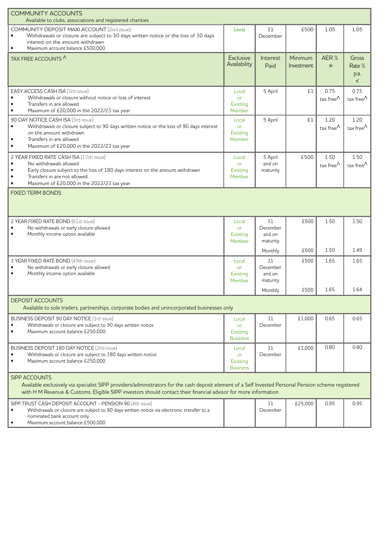| <b>COMMUNITY ACCOUNTS</b><br>Available to clubs, associations and registered charities                                                                                                                                                                                                           |                                                   |                                                 |                       |                                                 |                                           |  |  |  |
|--------------------------------------------------------------------------------------------------------------------------------------------------------------------------------------------------------------------------------------------------------------------------------------------------|---------------------------------------------------|-------------------------------------------------|-----------------------|-------------------------------------------------|-------------------------------------------|--|--|--|
| COMMUNITY DEPOSIT MAXI ACCOUNT (2nd issue)<br>Withdrawals or closure are subject to 30 days written notice or the loss of 30 days<br>interest on the amount withdrawn<br>$\bullet$<br>Maximum account balance £500,000                                                                           | Local                                             | 31<br>December                                  | £500                  | 1.05                                            | 1.05                                      |  |  |  |
| TAX FREE ACCOUNTS                                                                                                                                                                                                                                                                                | <b>Exclusive</b><br>Availability                  | Interest<br>Paid                                | Minimum<br>Investment | AER %<br>$*$                                    | Gross<br>Rate %<br>p.a.<br>$\overline{a}$ |  |  |  |
| EASY ACCESS CASH ISA (3rd issue)<br>Withdrawals or closure without notice or loss of interest<br>$\bullet$<br>Transfers in are allowed<br>Maximum of £20,000 in the 2022/23 tax year<br>٠                                                                                                        | Local<br>or<br>Existing<br>Member                 | 5 April                                         | £1                    | 0.75<br>tax free $^{\wedge}$                    | 0.75<br>tax free $^{\wedge}$              |  |  |  |
| 90 DAY NOTICE CASH ISA (3rd issue)<br>Withdrawals or closure subject to 90 days written notice or the loss of 90 days interest<br>$\bullet$<br>on the amount withdrawn<br>$\bullet$<br>Transfers in are allowed<br>Maximum of £20,000 in the 2022/23 tax year<br>$\bullet$                       | Local<br>or<br>Existing<br>Member                 | 5 April                                         | £1                    | 1.20<br>tax free <sup><math>\wedge</math></sup> | 1.20<br>tax free $\wedge$                 |  |  |  |
| 2 YEAR FIXED RATE CASH ISA (12th issue)<br>No withdrawals allowed<br>$\bullet$<br>$\bullet$<br>Early closure subject to the loss of 180 days interest on the amount withdrawn<br>Transfers in are not allowed<br>Maximum of £20,000 in the 2022/23 tax year<br>$\bullet$                         | Local<br>or<br>Existing<br>Member                 | 5 April<br>and on<br>maturity                   | £500                  | 1.50<br>tax free <sup><math>\wedge</math></sup> | 1.50<br>tax free $\wedge$                 |  |  |  |
| <b>FIXED TERM BONDS</b>                                                                                                                                                                                                                                                                          |                                                   |                                                 |                       |                                                 |                                           |  |  |  |
| 2 YEAR FIXED RATE BOND (61st issue)<br>No withdrawals or early closure allowed<br>$\bullet$<br>Monthly income option available                                                                                                                                                                   | Local<br>or<br>Existing<br>Member                 | 31<br>December<br>and on<br>maturity            | £500                  | 1.50                                            | 1.50                                      |  |  |  |
|                                                                                                                                                                                                                                                                                                  |                                                   | Monthly                                         | £500                  | 1.50                                            | 1.49                                      |  |  |  |
| 3 YEAR FIXED RATE BOND (49th issue)<br>No withdrawals or early closure allowed<br>٠<br>Monthly income option available<br>٠                                                                                                                                                                      | Local<br>or<br>Existing<br>Member                 | 31<br>December<br>and on<br>maturity<br>Monthly | £500<br>£500          | 1.65<br>1.65                                    | 1.65<br>1.64                              |  |  |  |
| <b>DEPOSIT ACCOUNTS</b><br>Available to sole traders, partnerships, corporate bodies and unincorporated businesses only                                                                                                                                                                          |                                                   |                                                 |                       |                                                 |                                           |  |  |  |
| BUSINESS DEPOSIT 90 DAY NOTICE (3rd issue)<br>Withdrawals or closure are subject to 90 days written notice<br>$\bullet$<br>$\bullet$<br>Maximum account balance £250,000                                                                                                                         | Local<br>or<br>Existing<br><b>Business</b>        | 31<br>December                                  | £1.000                | 0.65                                            | 0.65                                      |  |  |  |
| BUSINESS DEPOSIT 180 DAY NOTICE (2nd issue)<br>Withdrawals or closure are subject to 180 days written notice<br>٠<br>Maximum account balance £250,000                                                                                                                                            | Local<br><b>or</b><br>Existing<br><b>Business</b> | 31<br>December                                  | £1,000                | 0.80                                            | 0.80                                      |  |  |  |
| <b>SIPP ACCOUNTS</b><br>Available exclusively via specialist SIPP providers/administrators for the cash deposit element of a Self Invested Personal Pension scheme registered<br>with H M Revenue & Customs. Eligible SIPP investors should contact their financial advisor for more information |                                                   |                                                 |                       |                                                 |                                           |  |  |  |
| SIPP TRUST CASH DEPOSIT ACCOUNT - PENSION 90 (4th issue)<br>Withdrawals or closure are subject to 90 days written notice via electronic transfer to a<br>nominated bank account only<br>Maximum account balance £500,000                                                                         |                                                   | 31<br>December                                  | £25,000               | 0.95                                            | 0.95                                      |  |  |  |